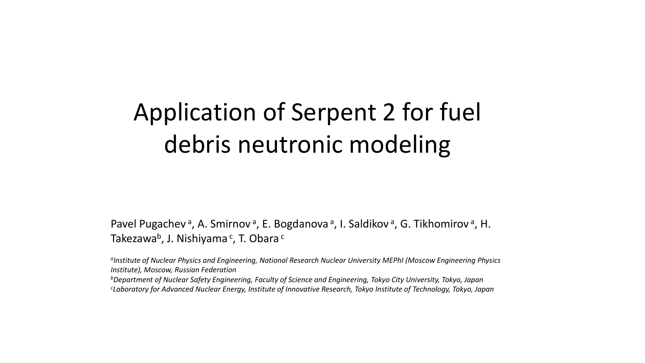## Application of Serpent 2 for fuel debris neutronic modeling

Pavel Pugachev<sup>a</sup>, A. Smirnov<sup>a</sup>, E. Bogdanova<sup>a</sup>, I. Saldikov<sup>a</sup>, G. Tikhomirov<sup>a</sup>, H. Takezawa<sup>b</sup>, J. Nishiyama <sup>c</sup>, T. Obara <sup>c</sup>

*aInstitute of Nuclear Physics and Engineering, National Research Nuclear University MEPhI (Moscow Engineering Physics Institute), Moscow, Russian Federation*

*bDepartment of Nuclear Safety Engineering, Faculty of Science and Engineering, Tokyo City University, Tokyo, Japan c Laboratory for Advanced Nuclear Energy, Institute of Innovative Research, Tokyo Institute of Technology, Tokyo, Japan*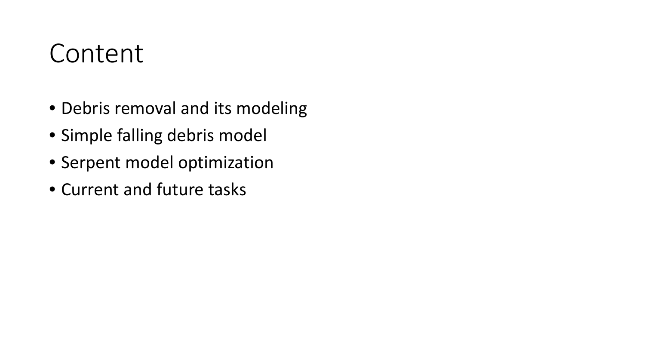#### Content

- Debris removal and its modeling
- Simple falling debris model
- Serpent model optimization
- Current and future tasks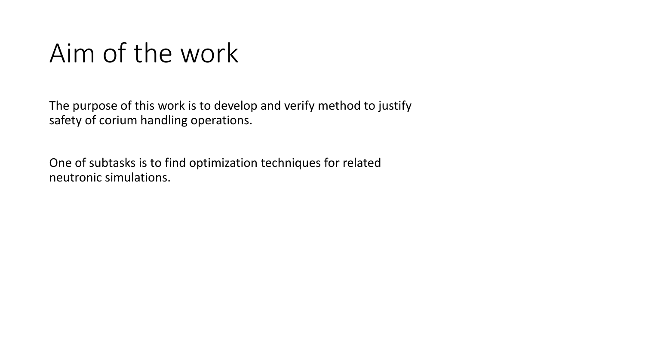#### Aim of the work

The purpose of this work is to develop and verify method to justify safety of corium handling operations.

One of subtasks is to find optimization techniques for related neutronic simulations.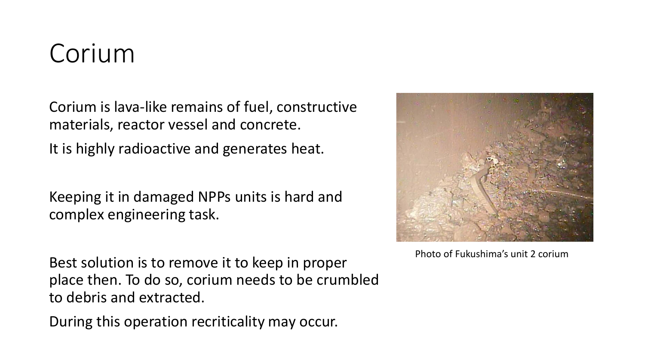## Corium

Corium is lava-like remains of fuel, constructive materials, reactor vessel and concrete.

It is highly radioactive and generates heat.

Keeping it in damaged NPPs units is hard and complex engineering task.

Best solution is to remove it to keep in proper place then. To do so, corium needs to be crumbled to debris and extracted.

During this operation recriticality may occur.



Photo of Fukushima's unit 2 corium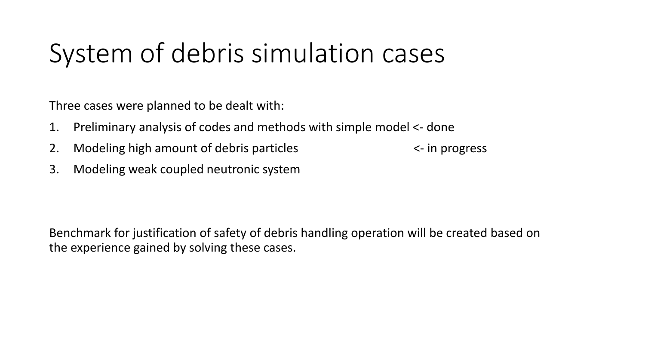# System of debris simulation cases

Three cases were planned to be dealt with:

- 1. Preliminary analysis of codes and methods with simple model <- done
- 2. Modeling high amount of debris particles  $\leq$  in progress

3. Modeling weak coupled neutronic system

Benchmark for justification of safety of debris handling operation will be created based on the experience gained by solving these cases.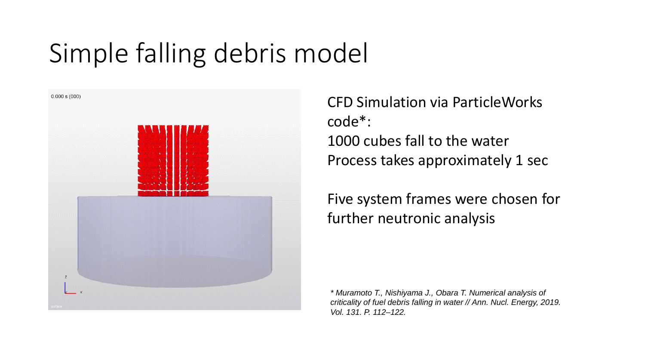# Simple falling debris model



CFD Simulation via ParticleWorks code\*: 1000 cubes fall to the water Process takes approximately 1 sec

Five system frames were chosen for further neutronic analysis

*\* Muramoto T., Nishiyama J., Obara T. Numerical analysis of criticality of fuel debris falling in water // Ann. Nucl. Energy, 2019. Vol. 131. P. 112–122.*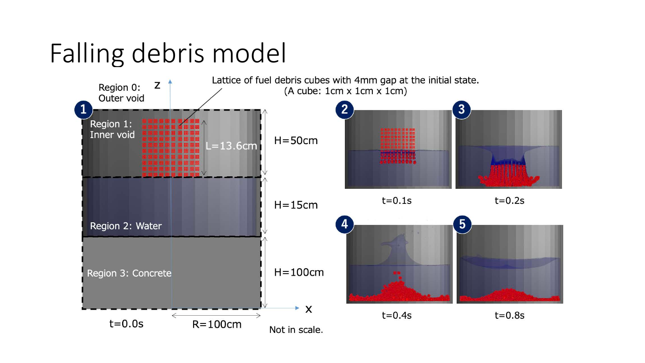# Falling debris model

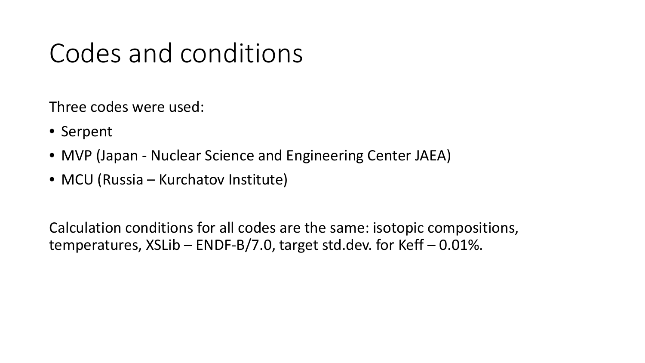## Codes and conditions

Three codes were used:

- Serpent
- MVP (Japan Nuclear Science and Engineering Center JAEA)
- MCU (Russia Kurchatov Institute)

Calculation conditions for all codes are the same: isotopic compositions, temperatures,  $XSLib - ENDF-B/7.0$ , target std.dev. for Keff  $-0.01\%$ .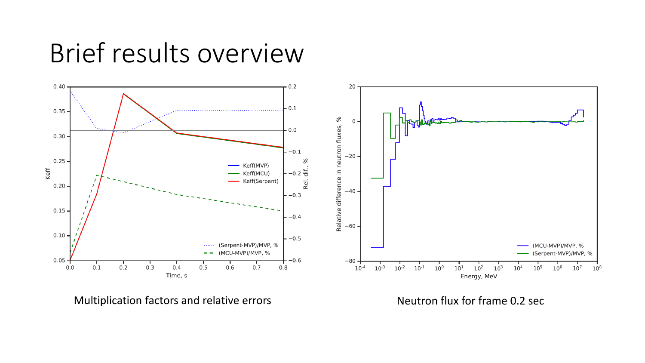#### Brief results overview



Multiplication factors and relative errors Meutron flux for frame 0.2 sec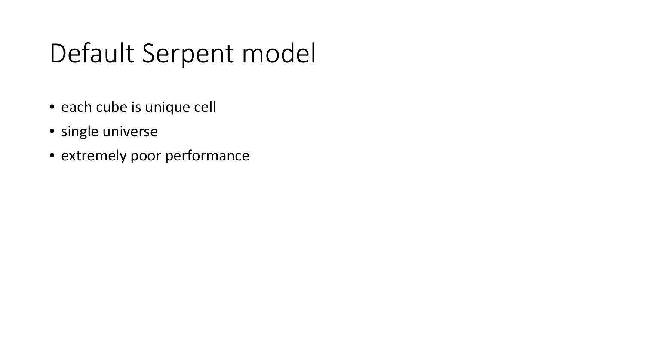# Default Serpent model

- each cube is unique cell
- single universe
- extremely poor performance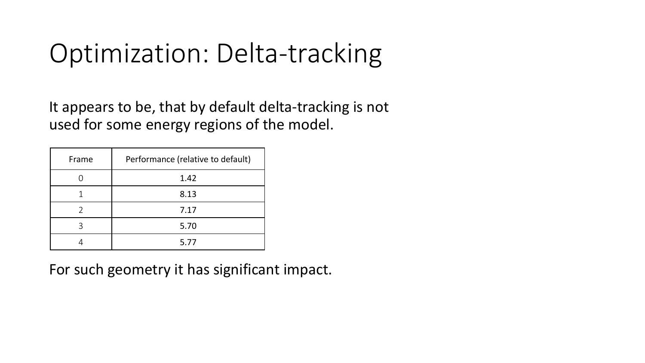# Optimization: Delta-tracking

It appears to be, that by default delta-tracking is not used for some energy regions of the model.

| Frame | Performance (relative to default) |  |  |
|-------|-----------------------------------|--|--|
|       | 1.42                              |  |  |
|       | 8.13                              |  |  |
|       | 7.17                              |  |  |
| 3     | 5.70                              |  |  |
|       | 5.77                              |  |  |

For such geometry it has significant impact.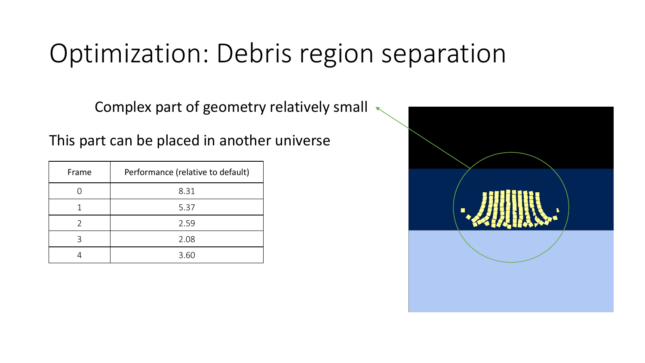# Optimization: Debris region separation

Complex part of geometry relatively small

This part can be placed in another universe

| Frame | Performance (relative to default) |  |  |  |
|-------|-----------------------------------|--|--|--|
|       | 8.31                              |  |  |  |
|       | 5.37                              |  |  |  |
|       | 2.59                              |  |  |  |
| ς     | 2.08                              |  |  |  |
|       | 3.60                              |  |  |  |

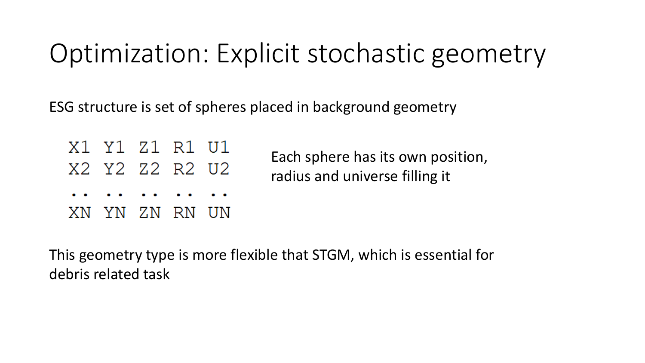# Optimization: Explicit stochastic geometry

ESG structure is set of spheres placed in background geometry

| Each s<br>radius |  | X1 Y1 Z1 R1 U1<br>X2 Y2 Z2 R2 U2 |  |
|------------------|--|----------------------------------|--|
|                  |  | .                                |  |
|                  |  | XN YN ZN RN UN                   |  |

phere has its own position, and universe filling it

This geometry type is more flexible that STGM, which is essential for debris related task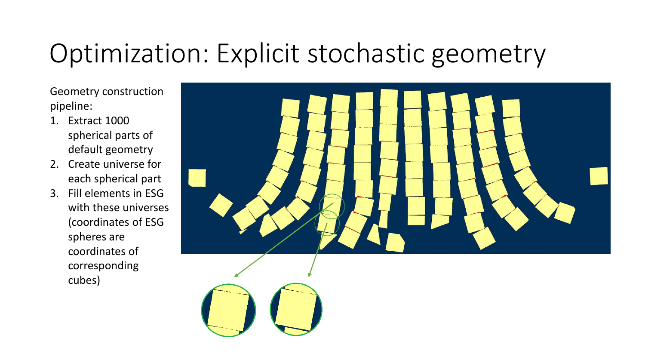# Optimization: Explicit stochastic geometry

Geometry construction pipeline:

- 1. Extract 1000 spherical parts of default geometry
- 2. Create universe for each spherical part
- 3. Fill elements in ESG with these universes (coordinates of ESG spheres are coordinates of corresponding cubes)

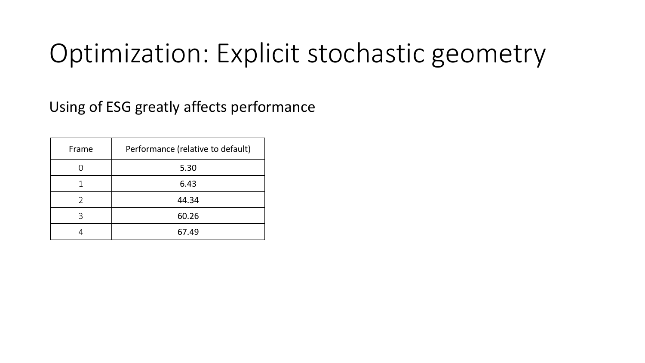## Optimization: Explicit stochastic geometry

Using of ESG greatly affects performance

| Frame | Performance (relative to default) |  |  |
|-------|-----------------------------------|--|--|
|       | 5.30                              |  |  |
|       | 6.43                              |  |  |
|       | 44.34                             |  |  |
|       | 60.26                             |  |  |
|       | 67.49                             |  |  |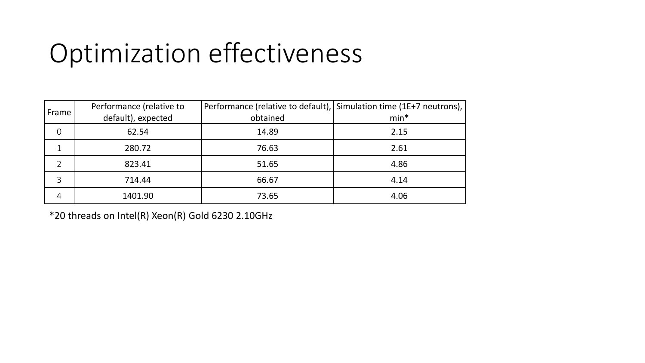# Optimization effectiveness

| Frame    | Performance (relative to<br>default), expected | obtained | Performance (relative to default), Simulation time (1E+7 neutrons),  <br>$min*$ |
|----------|------------------------------------------------|----------|---------------------------------------------------------------------------------|
| $\Omega$ | 62.54                                          | 14.89    | 2.15                                                                            |
|          | 280.72                                         | 76.63    | 2.61                                                                            |
|          | 823.41                                         | 51.65    | 4.86                                                                            |
| 3        | 714.44                                         | 66.67    | 4.14                                                                            |
| 4        | 1401.90                                        | 73.65    | 4.06                                                                            |

\*20 threads on Intel(R) Xeon(R) Gold 6230 2.10GHz